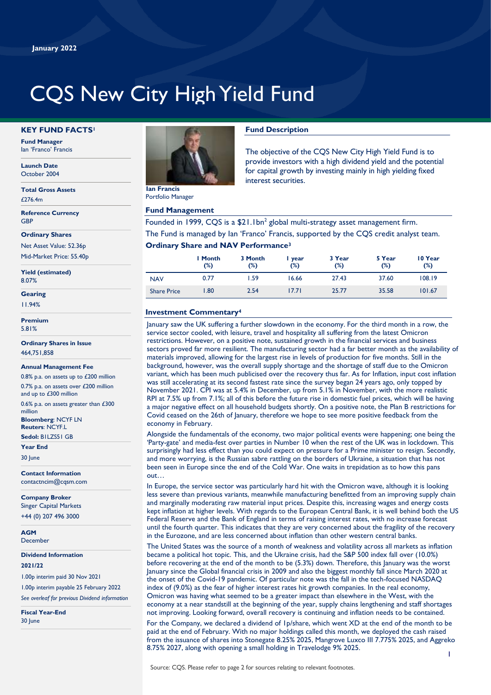# CQS New City High Yield Fund

#### **KEY FUND FACTS<sup>1</sup>**

**Fund Manager** Ian 'Franco' Francis

**Launch Date** October 2004

**Total Gross Assets**  $f$ 276.4m

**Reference Currency GRP** 

**Ordinary Shares**

Net Asset Value: 52.36p Mid-Market Price: 55.40p

**Yield (estimated)** 8.07%

# **Gearing**

11.94%

**Premium** 5.81%

**Ordinary Shares in Issue** 464,751,858

#### **Annual Management Fee**

0.8% p.a. on assets up to £200 million 0.7% p.a. on assets over £200 million and up to £300 million

0.6% p.a. on assets greater than £300 million

**Bloomberg**: NCYF LN **Reuters**: NCYF.L

**Sedol:** B1LZS51 GB **Year End**

30 June

**Contact Information** contactncim@cqsm.com

**Company Broker** Singer Capital Markets +44 (0) 207 496 3000

**AGM December** 

**Dividend Information**

#### **2021/22**

1.00p interim paid 30 Nov 2021

1.00p interim payable 25 February 2022 *See overleaf for previous Dividend information*

**Fiscal Year-End** 30 June



Portfolio Manager

#### **Fund Management**

# **Fund Description**

The objective of the CQS New City High Yield Fund is to provide investors with a high dividend yield and the potential for capital growth by investing mainly in high yielding fixed interest securities.

Founded in 1999, CQS is a  $$21.1bn<sup>2</sup>$  global multi-strategy asset management firm. The Fund is managed by Ian 'Franco' Francis, supported by the CQS credit analyst team.

## **Ordinary Share and NAV Performance<sup>3</sup>**

|                    | I Month<br>(%) | 3 Month<br>(%) | year<br>$(\%)$ | 3 Year<br>$(\%)$ | 5 Year<br>(%) | 10 Year<br>(%) |
|--------------------|----------------|----------------|----------------|------------------|---------------|----------------|
| <b>NAV</b>         | 0.77           | l.59           | 16.66          | 27.43            | 37.60         | 108.19         |
| <b>Share Price</b> | 1.80           | 2.54           | 17.71          | 25.77            | 35.58         | 101.67         |

## **Investment Commentary<sup>4</sup>**

January saw the UK suffering a further slowdown in the economy. For the third month in a row, the service sector cooled, with leisure, travel and hospitality all suffering from the latest Omicron restrictions. However, on a positive note, sustained growth in the financial services and business sectors proved far more resilient. The manufacturing sector had a far better month as the availability of materials improved, allowing for the largest rise in levels of production for five months. Still in the background, however, was the overall supply shortage and the shortage of staff due to the Omicron variant, which has been much publicised over the recovery thus far. As for Inflation, input cost inflation was still accelerating at its second fastest rate since the survey began 24 years ago, only topped by November 2021. CPI was at 5.4% in December, up from 5.1% in November, with the more realistic RPI at 7.5% up from 7.1%; all of this before the future rise in domestic fuel prices, which will be having a major negative effect on all household budgets shortly. On a positive note, the Plan B restrictions for Covid ceased on the 26th of January, therefore we hope to see more positive feedback from the economy in February.

Alongside the fundamentals of the economy, two major political events were happening; one being the 'Party-gate' and media-fest over parties in Number 10 when the rest of the UK was in lockdown. This surprisingly had less effect than you could expect on pressure for a Prime minister to resign. Secondly, and more worrying, is the Russian sabre rattling on the borders of Ukraine, a situation that has not been seen in Europe since the end of the Cold War. One waits in trepidation as to how this pans out…

In Europe, the service sector was particularly hard hit with the Omicron wave, although it is looking less severe than previous variants, meanwhile manufacturing benefitted from an improving supply chain and marginally moderating raw material input prices. Despite this, increasing wages and energy costs kept inflation at higher levels. With regards to the European Central Bank, it is well behind both the US Federal Reserve and the Bank of England in terms of raising interest rates, with no increase forecast until the fourth quarter. This indicates that they are very concerned about the fragility of the recovery in the Eurozone, and are less concerned about inflation than other western central banks.

The United States was the source of a month of weakness and volatility across all markets as inflation became a political hot topic. This, and the Ukraine crisis, had the S&P 500 index fall over (10.0%) before recovering at the end of the month to be (5.3%) down. Therefore, this January was the worst January since the Global financial crisis in 2009 and also the biggest monthly fall since March 2020 at the onset of the Covid-19 pandemic. Of particular note was the fall in the tech-focused NASDAQ index of (9.0%) as the fear of higher interest rates hit growth companies. In the real economy, Omicron was having what seemed to be a greater impact than elsewhere in the West, with the economy at a near standstill at the beginning of the year, supply chains lengthening and staff shortages not improving. Looking forward, overall recovery is continuing and inflation needs to be contained.

For the Company, we declared a dividend of 1p/share, which went XD at the end of the month to be paid at the end of February. With no major holdings called this month, we deployed the cash raised from the issuance of shares into Stonegate 8.25% 2025, Mangrove Luxco III 7.775% 2025, and Aggreko 8.75% 2027, along with opening a small holding in Travelodge 9% 2025.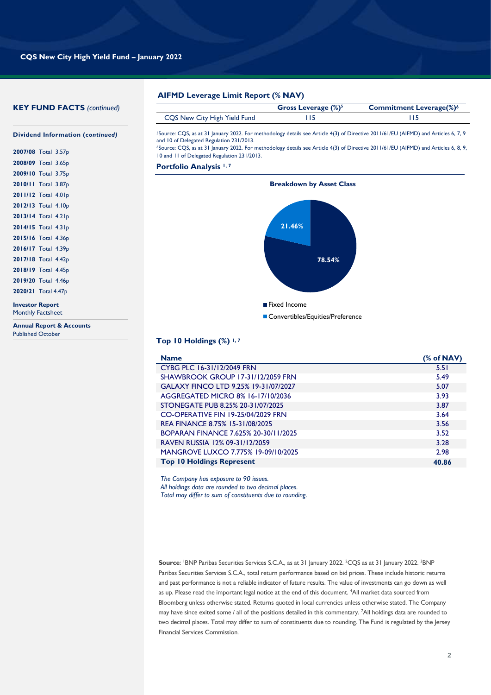# **KEY FUND FACTS** *(continued)*

| <b>AIFMD Leverage Limit Report (% NAV)</b> |
|--------------------------------------------|
|                                            |

|                              | Gross Leverage $(\%)^5$ | <b>Commitment Leverage(%)<sup>6</sup></b> |
|------------------------------|-------------------------|-------------------------------------------|
| CQS New City High Yield Fund |                         |                                           |

<sup>5</sup>Source: CQS, as at 31 January 2022. For methodology details see Article 4(3) of Directive 2011/61/EU (AIFMD) and Articles 6, 7, 9 and 10 of Delegated Regulation 231/2013.

<sup>6</sup>Source: CQS, as at 31 January 2022. For methodology details see Article 4(3) of Directive 2011/61/EU (AIFMD) and Articles 6, 8, 9, 10 and 11 of Delegated Regulation 231/2013.

**Portfolio Analysis 1, 7**



#### **Top 10 Holdings (%) 1, 7**

| <b>Name</b>                          | (% of NAV) |
|--------------------------------------|------------|
| CYBG PLC 16-31/12/2049 FRN           | 5.51       |
| SHAWBROOK GROUP 17-31/12/2059 FRN    | 5.49       |
| GALAXY FINCO LTD 9.25% 19-31/07/2027 | 5.07       |
| AGGREGATED MICRO 8% 16-17/10/2036    | 3.93       |
| STONEGATE PUB 8.25% 20-31/07/2025    | 3.87       |
| CO-OPERATIVE FIN 19-25/04/2029 FRN   | 3.64       |
| REA FINANCE 8.75% 15-31/08/2025      | 3.56       |
| BOPARAN FINANCE 7.625% 20-30/11/2025 | 3.52       |
| RAVEN RUSSIA 12% 09-31/12/2059       | 3.28       |
| MANGROVE LUXCO 7.775% 19-09/10/2025  | 2.98       |
| <b>Top 10 Holdings Represent</b>     | 40.86      |

*The Company has exposure to 90 issues. All holdings data are rounded to two decimal places. Total may differ to sum of constituents due to rounding.*

**Source**: <sup>1</sup>BNP Paribas Securities Services S.C.A., as at 31 January 2022. <sup>2</sup>CQS as at 31 January 2022. <sup>3</sup>BNP Paribas Securities Services S.C.A., total return performance based on bid prices. These include historic returns and past performance is not a reliable indicator of future results. The value of investments can go down as well as up. Please read the important legal notice at the end of this document. <sup>4</sup>All market data sourced from Bloomberg unless otherwise stated. Returns quoted in local currencies unless otherwise stated. The Company may have since exited some / all of the positions detailed in this commentary. <sup>7</sup>All holdings data are rounded to two decimal places. Total may differ to sum of constituents due to rounding. The Fund is regulated by the Jersey Financial Services Commission.

**Dividend Information (***continued)*

| 2007/08 Total 3.57p |  |
|---------------------|--|
| 2008/09 Total 3.65p |  |
| 2009/10 Total 3.75p |  |
| 2010/11 Total 3.87p |  |
| 2011/12 Total 4.01p |  |
| 2012/13 Total 4.10p |  |
| 2013/14 Total 4.21p |  |
| 2014/15 Total 4.31p |  |
| 2015/16 Total 4.36p |  |
| 2016/17 Total 4.39p |  |
| 2017/18 Total 4.42p |  |
| 2018/19 Total 4.45p |  |
| 2019/20 Total 4.46p |  |
| 2020/21 Total 4.47p |  |
|                     |  |

**Investor Report** Monthly Factsheet

**Annual Report & Accounts** Published October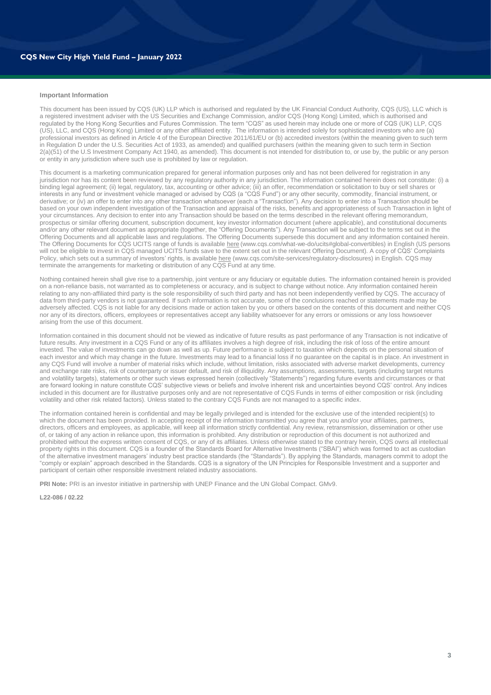#### **Important Information**

This document has been issued by CQS (UK) LLP which is authorised and regulated by the UK Financial Conduct Authority, CQS (US), LLC which is a registered investment adviser with the US Securities and Exchange Commission, and/or CQS (Hong Kong) Limited, which is authorised and regulated by the Hong Kong Securities and Futures Commission. The term "CQS" as used herein may include one or more of CQS (UK) LLP, CQS (US), LLC, and CQS (Hong Kong) Limited or any other affiliated entity. The information is intended solely for sophisticated investors who are (a) professional investors as defined in Article 4 of the European Directive 2011/61/EU or (b) accredited investors (within the meaning given to such term in Regulation D under the U.S. Securities Act of 1933, as amended) and qualified purchasers (within the meaning given to such term in Section 2(a)(51) of the U.S Investment Company Act 1940, as amended). This document is not intended for distribution to, or use by, the public or any person or entity in any jurisdiction where such use is prohibited by law or regulation.

This document is a marketing communication prepared for general information purposes only and has not been delivered for registration in any jurisdiction nor has its content been reviewed by any regulatory authority in any jurisdiction. The information contained herein does not constitute: (i) a binding legal agreement; (ii) legal, regulatory, tax, accounting or other advice; (iii) an offer, recommendation or solicitation to buy or sell shares or interests in any fund or investment vehicle managed or advised by CQS (a "CQS Fund") or any other security, commodity, financial instrument, or derivative; or (iv) an offer to enter into any other transaction whatsoever (each a "Transaction"). Any decision to enter into a Transaction should be based on your own independent investigation of the Transaction and appraisal of the risks, benefits and appropriateness of such Transaction in light of your circumstances. Any decision to enter into any Transaction should be based on the terms described in the relevant offering memorandum, prospectus or similar offering document, subscription document, key investor information document (where applicable), and constitutional documents and/or any other relevant document as appropriate (together, the "Offering Documents"). Any Transaction will be subject to the terms set out in the Offering Documents and all applicable laws and regulations. The Offering Documents supersede this document and any information contained herein. The Offering Documents for CQS UCITS range of funds is availabl[e here](https://www.cqs.com/what-we-do/ucits) (www.cqs.com/what-we-do/ucits#global-convertibles) in English (US persons will not be eligible to invest in CQS managed UCITS funds save to the extent set out in the relevant Offering Document). A copy of CQS' Complaints Policy, which sets out a summary of investors' rights, is availabl[e here](https://www.cqs.com/site-services/regulatory-disclosures) (www.cqs.com/site-services/regulatory-disclosures) in English. CQS may terminate the arrangements for marketing or distribution of any COS Fund at any time.

Nothing contained herein shall give rise to a partnership, joint venture or any fiduciary or equitable duties. The information contained herein is provided on a non-reliance basis, not warranted as to completeness or accuracy, and is subject to change without notice. Any information contained herein relating to any non-affiliated third party is the sole responsibility of such third party and has not been independently verified by CQS. The accuracy of data from third-party vendors is not guaranteed. If such information is not accurate, some of the conclusions reached or statements made may be adversely affected. CQS is not liable for any decisions made or action taken by you or others based on the contents of this document and neither CQS nor any of its directors, officers, employees or representatives accept any liability whatsoever for any errors or omissions or any loss howsoever arising from the use of this document.

Information contained in this document should not be viewed as indicative of future results as past performance of any Transaction is not indicative of future results. Any investment in a CQS Fund or any of its affiliates involves a high degree of risk, including the risk of loss of the entire amount invested. The value of investments can go down as well as up. Future performance is subject to taxation which depends on the personal situation of each investor and which may change in the future. Investments may lead to a financial loss if no guarantee on the capital is in place. An investment in any CQS Fund will involve a number of material risks which include, without limitation, risks associated with adverse market developments, currency and exchange rate risks, risk of counterparty or issuer default, and risk of illiquidity. Any assumptions, assessments, targets (including target returns and volatility targets), statements or other such views expressed herein (collectively "Statements") regarding future events and circumstances or that are forward looking in nature constitute CQS' subjective views or beliefs and involve inherent risk and uncertainties beyond CQS' control. Any indices included in this document are for illustrative purposes only and are not representative of CQS Funds in terms of either composition or risk (including volatility and other risk related factors). Unless stated to the contrary CQS Funds are not managed to a specific index.

The information contained herein is confidential and may be legally privileged and is intended for the exclusive use of the intended recipient(s) to which the document has been provided. In accepting receipt of the information transmitted you agree that you and/or your affiliates, partners, directors, officers and employees, as applicable, will keep all information strictly confidential. Any review, retransmission, dissemination or other use of, or taking of any action in reliance upon, this information is prohibited. Any distribution or reproduction of this document is not authorized and prohibited without the express written consent of CQS, or any of its affiliates. Unless otherwise stated to the contrary herein, CQS owns all intellectual property rights in this document. CQS is a founder of the Standards Board for Alternative Investments ("SBAI") which was formed to act as custodian of the alternative investment managers' industry best practice standards (the "Standards"). By applying the Standards, managers commit to adopt the "comply or explain" approach described in the Standards. CQS is a signatory of the UN Principles for Responsible Investment and a supporter and participant of certain other responsible investment related industry associations.

**PRI Note:** PRI is an investor initiative in partnership with UNEP Finance and the UN Global Compact. GMv9.

**L22-086 / 02.22**